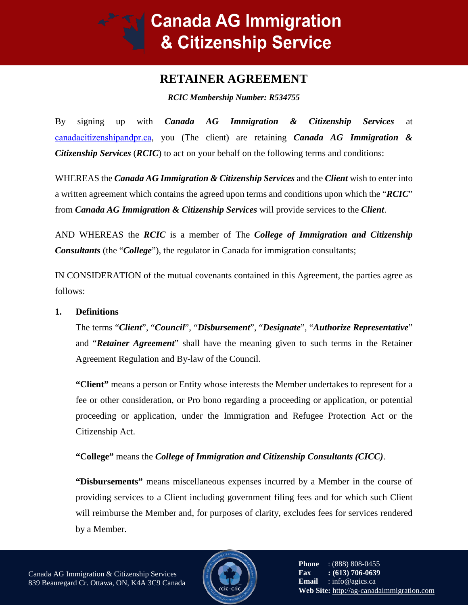# **Canada AG Immigration** & Citizenship Service

# **RETAINER AGREEMENT**

*RCIC Membership Number: R534755*

By signing up with *Canada AG Immigration & C[itizenship Services](https://ag-canadaimmigration.ca/)* at canadacitizenshipandpr.ca, you (The client) are retaining *Canada AG Immigration & Citizenship Services* (*RCIC*) to act on your behalf on the following terms and conditions:

WHEREAS the *Canada AG Immigration & Citizenship Services* and the *Client* wish to enter into a written agreement which contains the agreed upon terms and conditions upon which the "*RCIC*" from *Canada AG Immigration & Citizenship Services* will provide services to the *Client*.

AND WHEREAS the *RCIC* is a member of The *College of Immigration and Citizenship Consultants* (the "*College*"), the regulator in Canada for immigration consultants;

IN CONSIDERATION of the mutual covenants contained in this Agreement, the parties agree as follows:

# **1. Definitions**

The terms "*Client*", "*Council*", "*Disbursement*", "*Designate*", "*Authorize Representative*" and "*Retainer Agreement*" shall have the meaning given to such terms in the Retainer Agreement Regulation and By-law of the Council.

**"Client"** means a person or Entity whose interests the Member undertakes to represent for a fee or other consideration, or Pro bono regarding a proceeding or application, or potential proceeding or application, under the Immigration and Refugee Protection Act or the Citizenship Act.

**"College"** means the *College of Immigration and Citizenship Consultants (CICC)*.

**"Disbursements"** means miscellaneous expenses incurred by a Member in the course of providing services to a Client including government filing fees and for which such Client will reimburse the Member and, for purposes of clarity, excludes fees for services rendered by a Member.

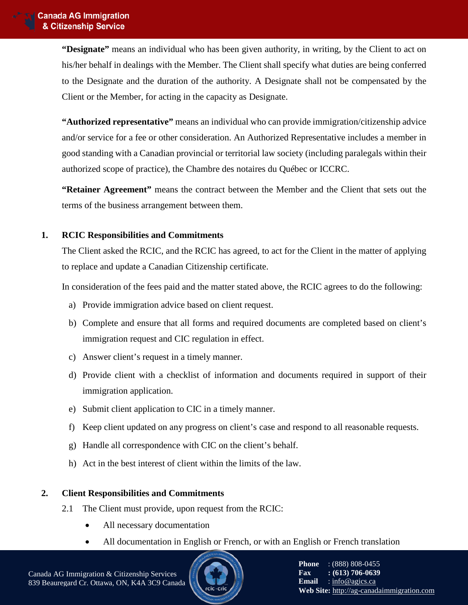**"Designate"** means an individual who has been given authority, in writing, by the Client to act on his/her behalf in dealings with the Member. The Client shall specify what duties are being conferred to the Designate and the duration of the authority. A Designate shall not be compensated by the Client or the Member, for acting in the capacity as Designate.

**"Authorized representative"** means an individual who can provide immigration/citizenship advice and/or service for a fee or other consideration. An Authorized Representative includes a member in good standing with a Canadian provincial or territorial law society (including paralegals within their authorized scope of practice), the Chambre des notaires du Québec or ICCRC.

**"Retainer Agreement"** means the contract between the Member and the Client that sets out the terms of the business arrangement between them.

# **1. RCIC Responsibilities and Commitments**

The Client asked the RCIC, and the RCIC has agreed, to act for the Client in the matter of applying to replace and update a Canadian Citizenship certificate.

In consideration of the fees paid and the matter stated above, the RCIC agrees to do the following:

- a) Provide immigration advice based on client request.
- b) Complete and ensure that all forms and required documents are completed based on client's immigration request and CIC regulation in effect.
- c) Answer client's request in a timely manner.
- d) Provide client with a checklist of information and documents required in support of their immigration application.
- e) Submit client application to CIC in a timely manner.
- f) Keep client updated on any progress on client's case and respond to all reasonable requests.
- g) Handle all correspondence with CIC on the client's behalf.
- h) Act in the best interest of client within the limits of the law.

# **2. Client Responsibilities and Commitments**

- 2.1 The Client must provide, upon request from the RCIC:
	- All necessary documentation
	- All documentation in English or French, or with an English or French translation

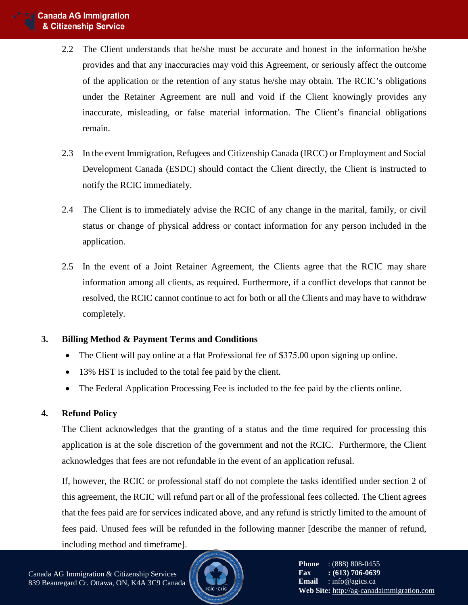- 2.2 The Client understands that he/she must be accurate and honest in the information he/she provides and that any inaccuracies may void this Agreement, or seriously affect the outcome of the application or the retention of any status he/she may obtain. The RCIC's obligations under the Retainer Agreement are null and void if the Client knowingly provides any inaccurate, misleading, or false material information. The Client's financial obligations remain.
- 2.3 In the event Immigration, Refugees and Citizenship Canada (IRCC) or Employment and Social Development Canada (ESDC) should contact the Client directly, the Client is instructed to notify the RCIC immediately.
- 2.4 The Client is to immediately advise the RCIC of any change in the marital, family, or civil status or change of physical address or contact information for any person included in the application.
- 2.5 In the event of a Joint Retainer Agreement, the Clients agree that the RCIC may share information among all clients, as required. Furthermore, if a conflict develops that cannot be resolved, the RCIC cannot continue to act for both or all the Clients and may have to withdraw completely.

# **3. Billing Method & Payment Terms and Conditions**

- The Client will pay online at a flat Professional fee of \$375.00 upon signing up online.
- 13% HST is included to the total fee paid by the client.
- The Federal Application Processing Fee is included to the fee paid by the clients online.

# **4. Refund Policy**

The Client acknowledges that the granting of a status and the time required for processing this application is at the sole discretion of the government and not the RCIC. Furthermore, the Client acknowledges that fees are not refundable in the event of an application refusal.

If, however, the RCIC or professional staff do not complete the tasks identified under section 2 of this agreement, the RCIC will refund part or all of the professional fees collected. The Client agrees that the fees paid are for services indicated above, and any refund is strictly limited to the amount of fees paid. Unused fees will be refunded in the following manner [describe the manner of refund, including method and timeframe].

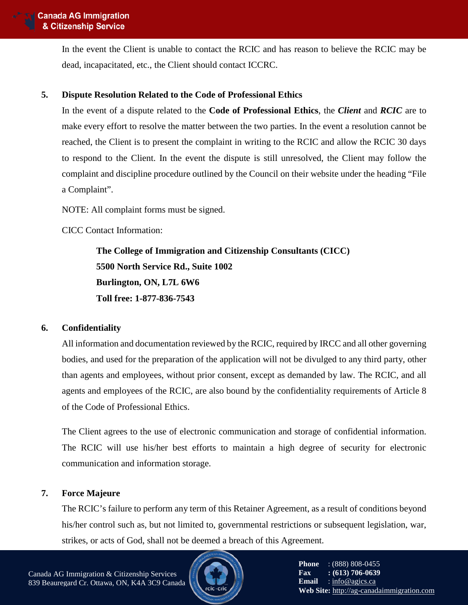In the event the Client is unable to contact the RCIC and has reason to believe the RCIC may be dead, incapacitated, etc., the Client should contact ICCRC.

# **5. Dispute Resolution Related to the Code of Professional Ethics**

In the event of a dispute related to the **Code of Professional Ethics**, the *Client* and *RCIC* are to make every effort to resolve the matter between the two parties. In the event a resolution cannot be reached, the Client is to present the complaint in writing to the RCIC and allow the RCIC 30 days to respond to the Client. In the event the dispute is still unresolved, the Client may follow the complaint and discipline procedure outlined by the Council on their website under the heading "File a Complaint".

NOTE: All complaint forms must be signed.

CICC Contact Information:

**The College of Immigration and Citizenship Consultants (CICC) 5500 North Service Rd., Suite 1002 Burlington, ON, L7L 6W6 Toll free: 1-877-836-7543** 

# **6. Confidentiality**

All information and documentation reviewed by the RCIC, required by IRCC and all other governing bodies, and used for the preparation of the application will not be divulged to any third party, other than agents and employees, without prior consent, except as demanded by law. The RCIC, and all agents and employees of the RCIC, are also bound by the confidentiality requirements of Article 8 of the Code of Professional Ethics.

The Client agrees to the use of electronic communication and storage of confidential information. The RCIC will use his/her best efforts to maintain a high degree of security for electronic communication and information storage.

# **7. Force Majeure**

The RCIC's failure to perform any term of this Retainer Agreement, as a result of conditions beyond his/her control such as, but not limited to, governmental restrictions or subsequent legislation, war, strikes, or acts of God, shall not be deemed a breach of this Agreement.

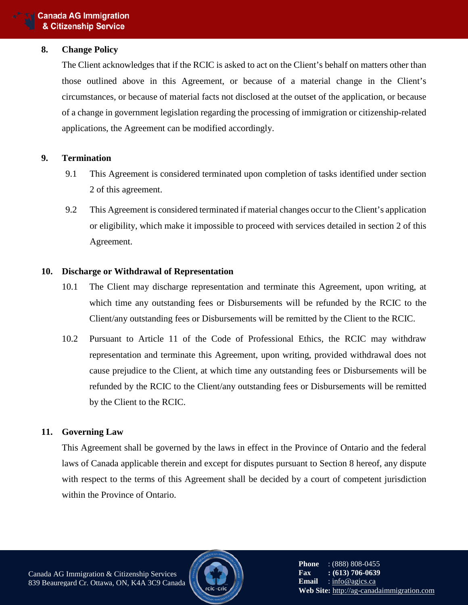#### **8. Change Policy**

The Client acknowledges that if the RCIC is asked to act on the Client's behalf on matters other than those outlined above in this Agreement, or because of a material change in the Client's circumstances, or because of material facts not disclosed at the outset of the application, or because of a change in government legislation regarding the processing of immigration or citizenship-related applications, the Agreement can be modified accordingly.

#### **9. Termination**

- 9.1 This Agreement is considered terminated upon completion of tasks identified under section 2 of this agreement.
- 9.2 This Agreement is considered terminated if material changes occur to the Client's application or eligibility, which make it impossible to proceed with services detailed in section 2 of this Agreement.

#### **10. Discharge or Withdrawal of Representation**

- 10.1 The Client may discharge representation and terminate this Agreement, upon writing, at which time any outstanding fees or Disbursements will be refunded by the RCIC to the Client/any outstanding fees or Disbursements will be remitted by the Client to the RCIC.
- 10.2 Pursuant to Article 11 of the Code of Professional Ethics, the RCIC may withdraw representation and terminate this Agreement, upon writing, provided withdrawal does not cause prejudice to the Client, at which time any outstanding fees or Disbursements will be refunded by the RCIC to the Client/any outstanding fees or Disbursements will be remitted by the Client to the RCIC.

#### **11. Governing Law**

This Agreement shall be governed by the laws in effect in the Province of Ontario and the federal laws of Canada applicable therein and except for disputes pursuant to Section 8 hereof, any dispute with respect to the terms of this Agreement shall be decided by a court of competent jurisdiction within the Province of Ontario.



**Phone** : (888) 808-0455 **Fax** : **(613) 706-0639**<br>**Email** : info@agics.ca **Email** [: info@agics.ca](mailto:info@agics.ca) **Web Site:** [http://ag-canadaimmigration.com](http://ag-canadaimmigration.com/)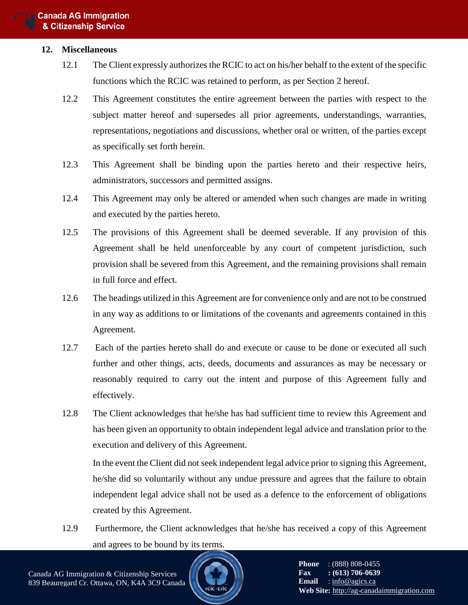#### **12. Miscellaneous**

- 12.1 The Client expressly authorizes the RCIC to act on his/her behalf to the extent of the specific functions which the RCIC was retained to perform, as per Section 2 hereof.
- 12.2 This Agreement constitutes the entire agreement between the parties with respect to the subject matter hereof and supersedes all prior agreements, understandings, warranties, representations, negotiations and discussions, whether oral or written, of the parties except as specifically set forth herein.
- 12.3 This Agreement shall be binding upon the parties hereto and their respective heirs, administrators, successors and permitted assigns.
- 12.4 This Agreement may only be altered or amended when such changes are made in writing and executed by the parties hereto.
- 12.5 The provisions of this Agreement shall be deemed severable. If any provision of this Agreement shall be held unenforceable by any court of competent jurisdiction, such provision shall be severed from this Agreement, and the remaining provisions shall remain in full force and effect.
- 12.6 The headings utilized in this Agreement are for convenience only and are not to be construed in any way as additions to or limitations of the covenants and agreements contained in this Agreement.
- 12.7 Each of the parties hereto shall do and execute or cause to be done or executed all such further and other things, acts, deeds, documents and assurances as may be necessary or reasonably required to carry out the intent and purpose of this Agreement fully and effectively.
- 12.8 The Client acknowledges that he/she has had sufficient time to review this Agreement and has been given an opportunity to obtain independent legal advice and translation prior to the execution and delivery of this Agreement.

In the event the Client did not seek independent legal advice prior to signing this Agreement, he/she did so voluntarily without any undue pressure and agrees that the failure to obtain independent legal advice shall not be used as a defence to the enforcement of obligations created by this Agreement.

12.9 Furthermore, the Client acknowledges that he/she has received a copy of this Agreement and agrees to be bound by its terms.